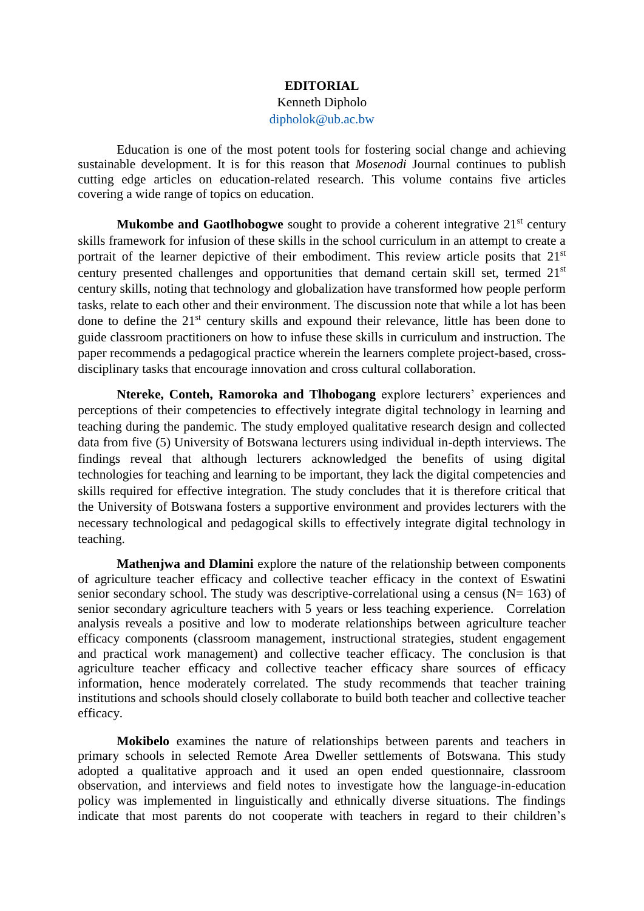## **EDITORIAL**

## Kenneth Dipholo

[dipholok@ub.ac.bw](mailto:dipholok@ub.ac.bw)

Education is one of the most potent tools for fostering social change and achieving sustainable development. It is for this reason that *Mosenodi* Journal continues to publish cutting edge articles on education-related research. This volume contains five articles covering a wide range of topics on education.

**Mukombe and Gaotlhobogwe** sought to provide a coherent integrative 21<sup>st</sup> century skills framework for infusion of these skills in the school curriculum in an attempt to create a portrait of the learner depictive of their embodiment. This review article posits that 21<sup>st</sup> century presented challenges and opportunities that demand certain skill set, termed 21<sup>st</sup> century skills, noting that technology and globalization have transformed how people perform tasks, relate to each other and their environment. The discussion note that while a lot has been done to define the 21<sup>st</sup> century skills and expound their relevance, little has been done to guide classroom practitioners on how to infuse these skills in curriculum and instruction. The paper recommends a pedagogical practice wherein the learners complete project-based, crossdisciplinary tasks that encourage innovation and cross cultural collaboration.

**Ntereke, Conteh, Ramoroka and Tlhobogang** explore lecturers' experiences and perceptions of their competencies to effectively integrate digital technology in learning and teaching during the pandemic. The study employed qualitative research design and collected data from five (5) University of Botswana lecturers using individual in-depth interviews. The findings reveal that although lecturers acknowledged the benefits of using digital technologies for teaching and learning to be important, they lack the digital competencies and skills required for effective integration. The study concludes that it is therefore critical that the University of Botswana fosters a supportive environment and provides lecturers with the necessary technological and pedagogical skills to effectively integrate digital technology in teaching.

**Mathenjwa and Dlamini** explore the nature of the relationship between components of agriculture teacher efficacy and collective teacher efficacy in the context of Eswatini senior secondary school. The study was descriptive-correlational using a census ( $N= 163$ ) of senior secondary agriculture teachers with 5 years or less teaching experience. Correlation analysis reveals a positive and low to moderate relationships between agriculture teacher efficacy components (classroom management, instructional strategies, student engagement and practical work management) and collective teacher efficacy. The conclusion is that agriculture teacher efficacy and collective teacher efficacy share sources of efficacy information, hence moderately correlated. The study recommends that teacher training institutions and schools should closely collaborate to build both teacher and collective teacher efficacy.

**Mokibelo** examines the nature of relationships between parents and teachers in primary schools in selected Remote Area Dweller settlements of Botswana. This study adopted a qualitative approach and it used an open ended questionnaire, classroom observation, and interviews and field notes to investigate how the language-in-education policy was implemented in linguistically and ethnically diverse situations. The findings indicate that most parents do not cooperate with teachers in regard to their children's